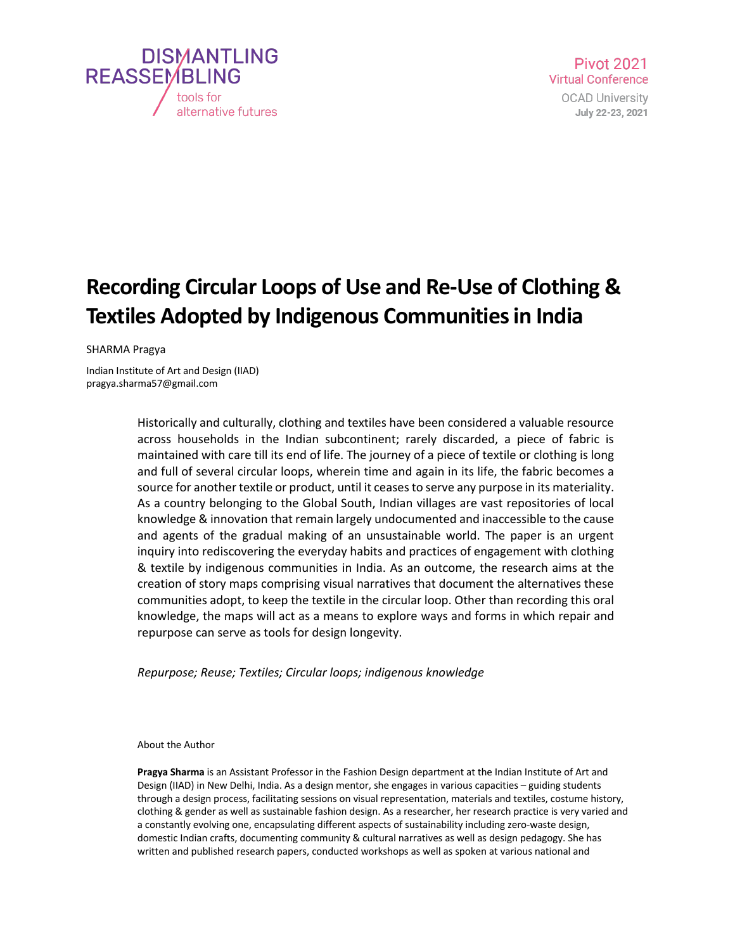

## **Recording Circular Loops of Use and Re-Use of Clothing & Textiles Adopted by Indigenous Communities in India**

SHARMA Pragya

Indian Institute of Art and Design (IIAD) pragya.sharma57@gmail.com

> Historically and culturally, clothing and textiles have been considered a valuable resource across households in the Indian subcontinent; rarely discarded, a piece of fabric is maintained with care till its end of life. The journey of a piece of textile or clothing is long and full of several circular loops, wherein time and again in its life, the fabric becomes a source for another textile or product, until it ceases to serve any purpose in its materiality. As a country belonging to the Global South, Indian villages are vast repositories of local knowledge & innovation that remain largely undocumented and inaccessible to the cause and agents of the gradual making of an unsustainable world. The paper is an urgent inquiry into rediscovering the everyday habits and practices of engagement with clothing & textile by indigenous communities in India. As an outcome, the research aims at the creation of story maps comprising visual narratives that document the alternatives these communities adopt, to keep the textile in the circular loop. Other than recording this oral knowledge, the maps will act as a means to explore ways and forms in which repair and repurpose can serve as tools for design longevity.

*Repurpose; Reuse; Textiles; Circular loops; indigenous knowledge*

About the Author

**Pragya Sharma** is an Assistant Professor in the Fashion Design department at the Indian Institute of Art and Design (IIAD) in New Delhi, India. As a design mentor, she engages in various capacities – guiding students through a design process, facilitating sessions on visual representation, materials and textiles, costume history, clothing & gender as well as sustainable fashion design. As a researcher, her research practice is very varied and a constantly evolving one, encapsulating different aspects of sustainability including zero-waste design, domestic Indian crafts, documenting community & cultural narratives as well as design pedagogy. She has written and published research papers, conducted workshops as well as spoken at various national and